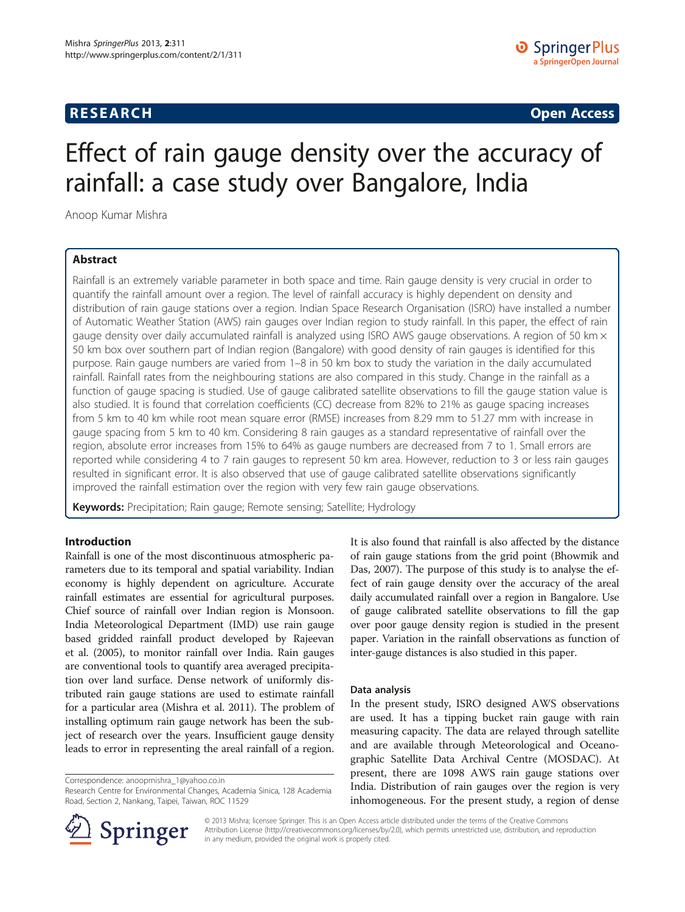# **RESEARCH CHINESE ARCH CHINESE ARCH CHINESE ARCH <b>CHINESE ARCH**

# Effect of rain gauge density over the accuracy of rainfall: a case study over Bangalore, India

Anoop Kumar Mishra

## Abstract

Rainfall is an extremely variable parameter in both space and time. Rain gauge density is very crucial in order to quantify the rainfall amount over a region. The level of rainfall accuracy is highly dependent on density and distribution of rain gauge stations over a region. Indian Space Research Organisation (ISRO) have installed a number of Automatic Weather Station (AWS) rain gauges over Indian region to study rainfall. In this paper, the effect of rain gauge density over daily accumulated rainfall is analyzed using ISRO AWS gauge observations. A region of 50 km $\times$ 50 km box over southern part of Indian region (Bangalore) with good density of rain gauges is identified for this purpose. Rain gauge numbers are varied from 1–8 in 50 km box to study the variation in the daily accumulated rainfall. Rainfall rates from the neighbouring stations are also compared in this study. Change in the rainfall as a function of gauge spacing is studied. Use of gauge calibrated satellite observations to fill the gauge station value is also studied. It is found that correlation coefficients (CC) decrease from 82% to 21% as gauge spacing increases from 5 km to 40 km while root mean square error (RMSE) increases from 8.29 mm to 51.27 mm with increase in gauge spacing from 5 km to 40 km. Considering 8 rain gauges as a standard representative of rainfall over the region, absolute error increases from 15% to 64% as gauge numbers are decreased from 7 to 1. Small errors are reported while considering 4 to 7 rain gauges to represent 50 km area. However, reduction to 3 or less rain gauges resulted in significant error. It is also observed that use of gauge calibrated satellite observations significantly improved the rainfall estimation over the region with very few rain gauge observations.

**Keywords:** Precipitation; Rain gauge; Remote sensing; Satellite; Hydrology

## Introduction

Rainfall is one of the most discontinuous atmospheric parameters due to its temporal and spatial variability. Indian economy is highly dependent on agriculture. Accurate rainfall estimates are essential for agricultural purposes. Chief source of rainfall over Indian region is Monsoon. India Meteorological Department (IMD) use rain gauge based gridded rainfall product developed by Rajeevan et al. [\(2005](#page-6-0)), to monitor rainfall over India. Rain gauges are conventional tools to quantify area averaged precipitation over land surface. Dense network of uniformly distributed rain gauge stations are used to estimate rainfall for a particular area (Mishra et al. [2011\)](#page-6-0). The problem of installing optimum rain gauge network has been the subject of research over the years. Insufficient gauge density leads to error in representing the areal rainfall of a region.

Correspondence: [anoopmishra\\_1@yahoo.co.in](mailto:anoopmishra_1@yahoo.co.in)

Research Centre for Environmental Changes, Academia Sinica, 128 Academia Road, Section 2, Nankang, Taipei, Taiwan, ROC 11529



## Data analysis

In the present study, ISRO designed AWS observations are used. It has a tipping bucket rain gauge with rain measuring capacity. The data are relayed through satellite and are available through Meteorological and Oceanographic Satellite Data Archival Centre (MOSDAC). At present, there are 1098 AWS rain gauge stations over India. Distribution of rain gauges over the region is very inhomogeneous. For the present study, a region of dense



© 2013 Mishra; licensee Springer. This is an Open Access article distributed under the terms of the Creative Commons Attribution License [\(http://creativecommons.org/licenses/by/2.0\)](http://creativecommons.org/licenses/by/2.0), which permits unrestricted use, distribution, and reproduction in any medium, provided the original work is properly cited.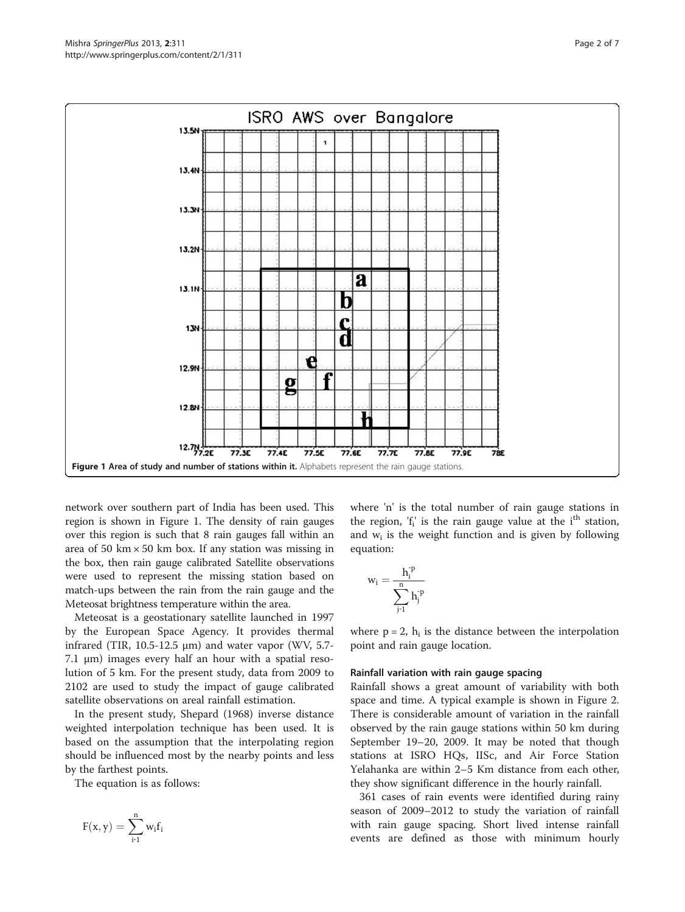

network over southern part of India has been used. This region is shown in Figure 1. The density of rain gauges over this region is such that 8 rain gauges fall within an area of 50 km  $\times$  50 km box. If any station was missing in the box, then rain gauge calibrated Satellite observations were used to represent the missing station based on match-ups between the rain from the rain gauge and the Meteosat brightness temperature within the area.

Meteosat is a geostationary satellite launched in 1997 by the European Space Agency. It provides thermal infrared (TIR,  $10.5-12.5 \mu m$ ) and water vapor (WV, 5.7-7.1 μm) images every half an hour with a spatial resolution of 5 km. For the present study, data from 2009 to 2102 are used to study the impact of gauge calibrated satellite observations on areal rainfall estimation.

In the present study, Shepard [\(1968](#page-6-0)) inverse distance weighted interpolation technique has been used. It is based on the assumption that the interpolating region should be influenced most by the nearby points and less by the farthest points.

The equation is as follows:

$$
F(x,y)=\sum\limits_{i\text{-}1}^nw_if_i
$$

where 'n' is the total number of rain gauge stations in the region,  $f_i$  is the rain gauge value at the i<sup>th</sup> station, and  $w_i$  is the weight function and is given by following equation:

$$
w_i = \frac{h_i^{\textnormal{\tiny T}}}{\displaystyle\sum_{j\textnormal{\tiny T}}^n h_j^{\textnormal{\tiny T}}}
$$

where  $p = 2$ ,  $h_i$  is the distance between the interpolation point and rain gauge location.

## Rainfall variation with rain gauge spacing

Rainfall shows a great amount of variability with both space and time. A typical example is shown in Figure [2](#page-2-0). There is considerable amount of variation in the rainfall observed by the rain gauge stations within 50 km during September 19–20, 2009. It may be noted that though stations at ISRO HQs, IISc, and Air Force Station Yelahanka are within 2–5 Km distance from each other, they show significant difference in the hourly rainfall.

361 cases of rain events were identified during rainy season of 2009–2012 to study the variation of rainfall with rain gauge spacing. Short lived intense rainfall events are defined as those with minimum hourly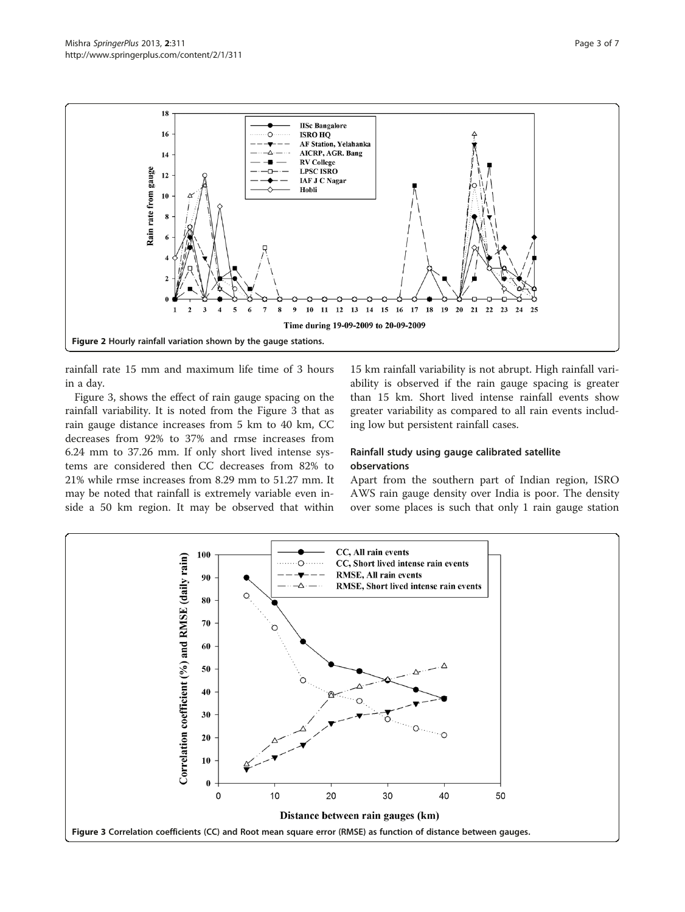<span id="page-2-0"></span>

rainfall rate 15 mm and maximum life time of 3 hours in a day.

Figure 3, shows the effect of rain gauge spacing on the rainfall variability. It is noted from the Figure 3 that as rain gauge distance increases from 5 km to 40 km, CC decreases from 92% to 37% and rmse increases from 6.24 mm to 37.26 mm. If only short lived intense systems are considered then CC decreases from 82% to 21% while rmse increases from 8.29 mm to 51.27 mm. It may be noted that rainfall is extremely variable even inside a 50 km region. It may be observed that within

15 km rainfall variability is not abrupt. High rainfall variability is observed if the rain gauge spacing is greater than 15 km. Short lived intense rainfall events show greater variability as compared to all rain events including low but persistent rainfall cases.

## Rainfall study using gauge calibrated satellite observations

Apart from the southern part of Indian region, ISRO AWS rain gauge density over India is poor. The density over some places is such that only 1 rain gauge station

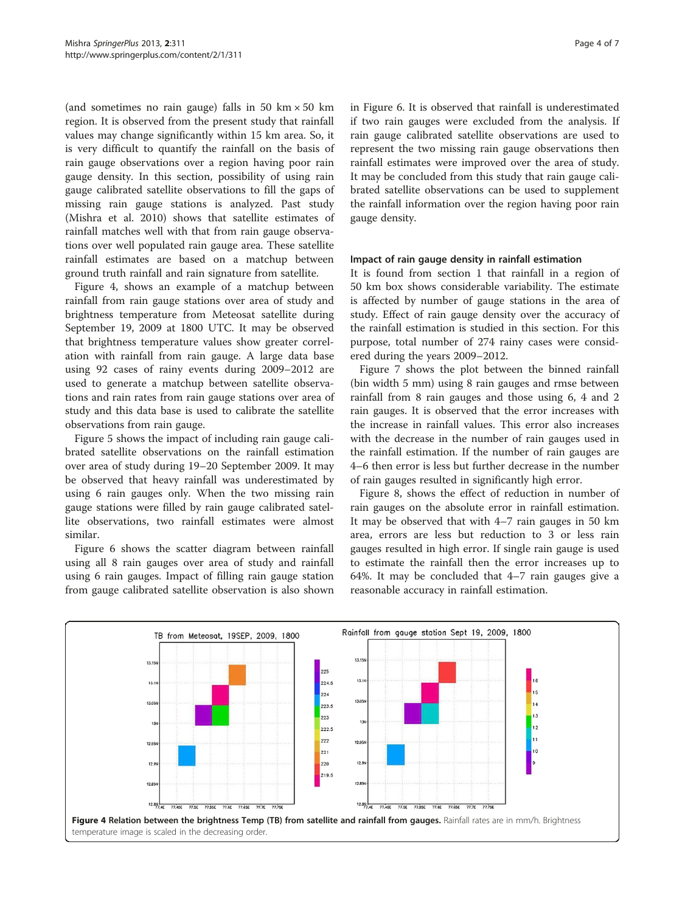(and sometimes no rain gauge) falls in 50 km  $\times$  50 km region. It is observed from the present study that rainfall values may change significantly within 15 km area. So, it is very difficult to quantify the rainfall on the basis of rain gauge observations over a region having poor rain gauge density. In this section, possibility of using rain gauge calibrated satellite observations to fill the gaps of missing rain gauge stations is analyzed. Past study (Mishra et al. [2010\)](#page-6-0) shows that satellite estimates of rainfall matches well with that from rain gauge observations over well populated rain gauge area. These satellite rainfall estimates are based on a matchup between ground truth rainfall and rain signature from satellite.

Figure 4, shows an example of a matchup between rainfall from rain gauge stations over area of study and brightness temperature from Meteosat satellite during September 19, 2009 at 1800 UTC. It may be observed that brightness temperature values show greater correlation with rainfall from rain gauge. A large data base using 92 cases of rainy events during 2009–2012 are used to generate a matchup between satellite observations and rain rates from rain gauge stations over area of study and this data base is used to calibrate the satellite observations from rain gauge.

Figure [5](#page-4-0) shows the impact of including rain gauge calibrated satellite observations on the rainfall estimation over area of study during 19–20 September 2009. It may be observed that heavy rainfall was underestimated by using 6 rain gauges only. When the two missing rain gauge stations were filled by rain gauge calibrated satellite observations, two rainfall estimates were almost similar.

Figure [6](#page-4-0) shows the scatter diagram between rainfall using all 8 rain gauges over area of study and rainfall using 6 rain gauges. Impact of filling rain gauge station from gauge calibrated satellite observation is also shown in Figure [6.](#page-4-0) It is observed that rainfall is underestimated if two rain gauges were excluded from the analysis. If rain gauge calibrated satellite observations are used to represent the two missing rain gauge observations then rainfall estimates were improved over the area of study. It may be concluded from this study that rain gauge calibrated satellite observations can be used to supplement the rainfall information over the region having poor rain gauge density.

## Impact of rain gauge density in rainfall estimation

It is found from section 1 that rainfall in a region of 50 km box shows considerable variability. The estimate is affected by number of gauge stations in the area of study. Effect of rain gauge density over the accuracy of the rainfall estimation is studied in this section. For this purpose, total number of 274 rainy cases were considered during the years 2009–2012.

Figure [7](#page-5-0) shows the plot between the binned rainfall (bin width 5 mm) using 8 rain gauges and rmse between rainfall from 8 rain gauges and those using 6, 4 and 2 rain gauges. It is observed that the error increases with the increase in rainfall values. This error also increases with the decrease in the number of rain gauges used in the rainfall estimation. If the number of rain gauges are 4–6 then error is less but further decrease in the number of rain gauges resulted in significantly high error.

Figure [8,](#page-5-0) shows the effect of reduction in number of rain gauges on the absolute error in rainfall estimation. It may be observed that with 4–7 rain gauges in 50 km area, errors are less but reduction to 3 or less rain gauges resulted in high error. If single rain gauge is used to estimate the rainfall then the error increases up to 64%. It may be concluded that 4–7 rain gauges give a reasonable accuracy in rainfall estimation.

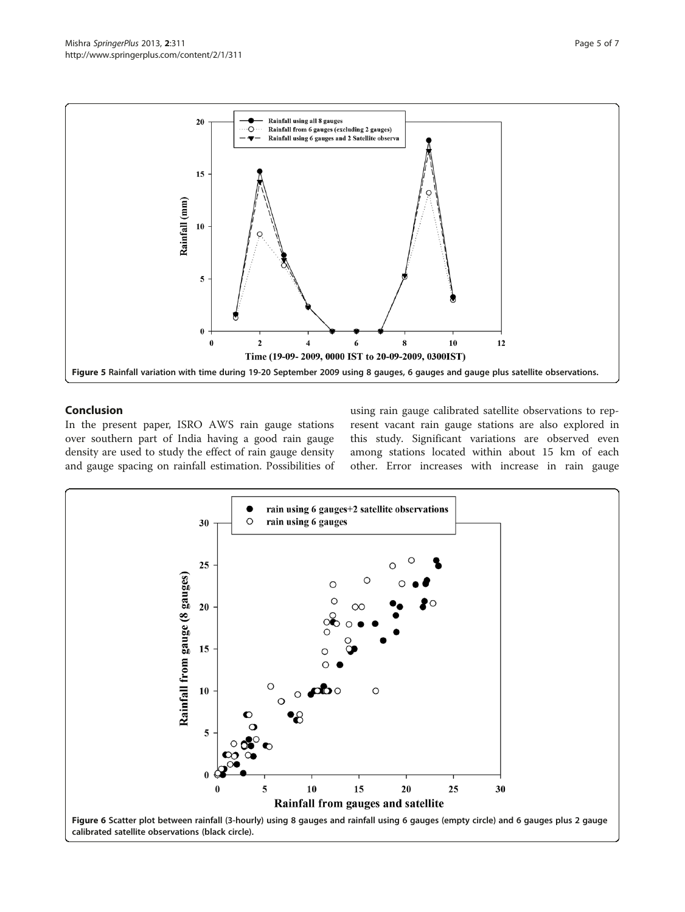<span id="page-4-0"></span>

# Conclusion

In the present paper, ISRO AWS rain gauge stations over southern part of India having a good rain gauge density are used to study the effect of rain gauge density and gauge spacing on rainfall estimation. Possibilities of using rain gauge calibrated satellite observations to represent vacant rain gauge stations are also explored in this study. Significant variations are observed even among stations located within about 15 km of each other. Error increases with increase in rain gauge

![](_page_4_Figure_5.jpeg)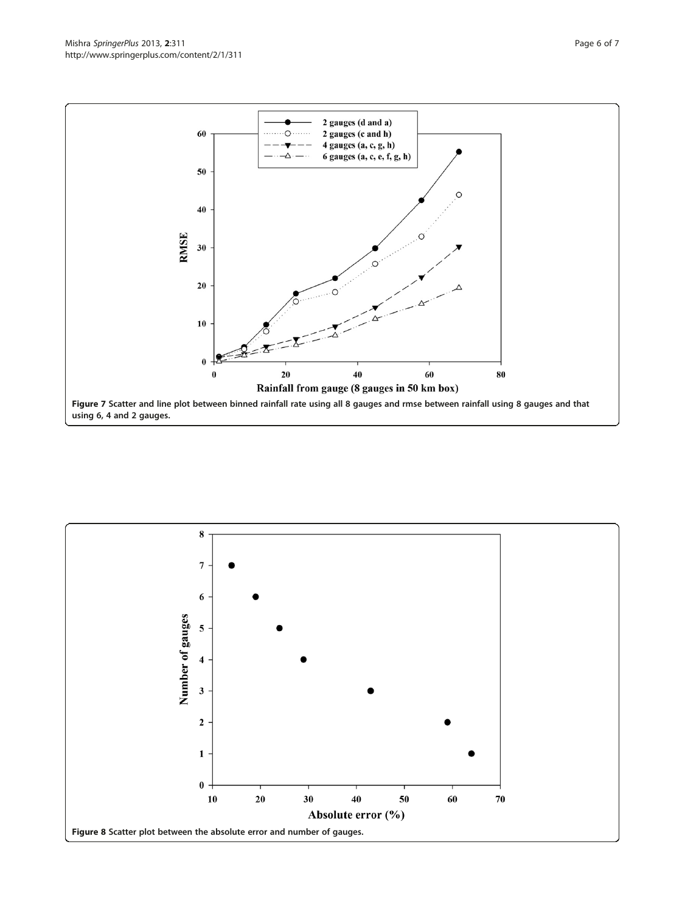<span id="page-5-0"></span>![](_page_5_Figure_1.jpeg)

![](_page_5_Figure_2.jpeg)